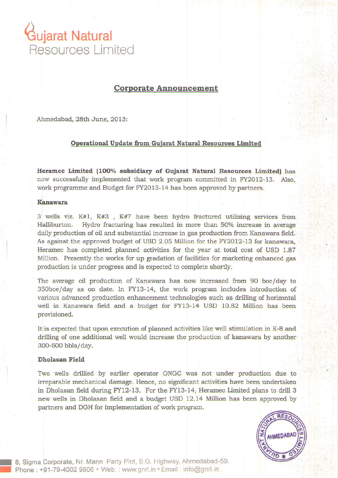# \iujarat Natural Resources Limited

# Corporate Announcement

Ahmedabad, 28th June, 2013:

# Operational Update from Guiarat Natural Resources Limited

Heramec Limited (100% subsidiary of Gujarat Natural Resources Limited) has now successfully implemented that work program committed in FY2012-13. Also, work programme and Budget for FY2013-14 has been approved by partners.

### Kanawara

3 wells viz.  $K#1$ ,  $K#3$ ,  $K#7$  have been hydro fractured utilizing services from Halliburton. Hydro fracturing has resulted in more than 50% increase in average daily production of oil and substantial increase in gas production from Kanawara field. As against the approved budget of USD 2.05 Million for the FY2012-13 for kanawara, Heramec has completed planned activities for the year at total cost of USD 1.87 Million. Presently the works for up gradation of facilities for marketing enhanced gas production is under progress and is expected to complete shordy.

The average oil production of Kanawara has now increased from 90 boe/day to 3soboe/day as on date. In FY13-14, the work program includes introduction of various advanced production enhancement technologies such as drilling of horizontal well in Kanawara field and a budget for FY13-14 USD 10.82 Million has been provisioned.

It is expected that upon execution of planned activities like well stimulation in K-8 and drilling of one additional well would increase the production of kanawara by another 300-500 bbls/day.

## Dholasan Field

I I Two wells drilied by earlier operator ONGC was not under production due to irreparable mechanical damage. Hence, no significant activities have been undertaken in Dholasan field during FY12-13. For the FY13-14, Heramec Limited plans to drill 3 new wells in Dholasan field and a budget USD 12.14 Million has been approved by partners and DGH for implementation of work program.



8, Sigma Corporate, Nr. Mann Party Plot, S.G. Highway, Ahmedabad-59. Phone : +91-79-4002 9806 · Web. : www.gnrl.in · Email : info@gnrl.in